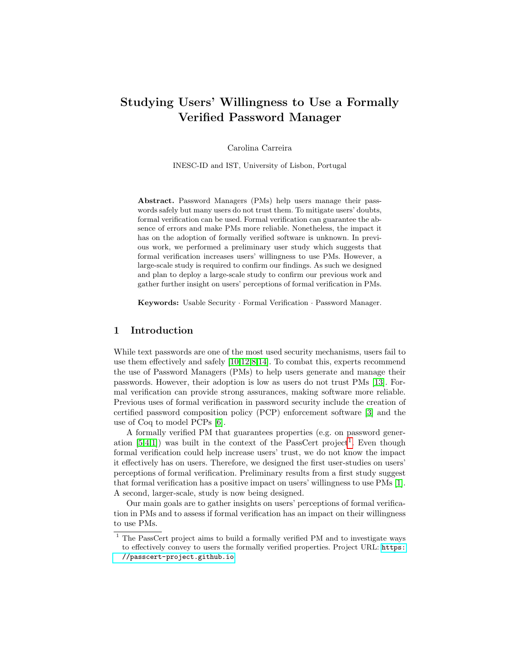# Studying Users' Willingness to Use a Formally Verified Password Manager

Carolina Carreira

INESC-ID and IST, University of Lisbon, Portugal

Abstract. Password Managers (PMs) help users manage their passwords safely but many users do not trust them. To mitigate users' doubts, formal verification can be used. Formal verification can guarantee the absence of errors and make PMs more reliable. Nonetheless, the impact it has on the adoption of formally verified software is unknown. In previous work, we performed a preliminary user study which suggests that formal verification increases users' willingness to use PMs. However, a large-scale study is required to confirm our findings. As such we designed and plan to deploy a large-scale study to confirm our previous work and gather further insight on users' perceptions of formal verification in PMs.

Keywords: Usable Security · Formal Verification · Password Manager.

## 1 Introduction

While text passwords are one of the most used security mechanisms, users fail to use them effectively and safely [\[10,](#page-3-0)[12](#page-3-1)[,8,](#page-3-2)[14\]](#page-3-3). To combat this, experts recommend the use of Password Managers (PMs) to help users generate and manage their passwords. However, their adoption is low as users do not trust PMs [\[13\]](#page-3-4). Formal verification can provide strong assurances, making software more reliable. Previous uses of formal verification in password security include the creation of certified password composition policy (PCP) enforcement software [\[3\]](#page-3-5) and the use of Coq to model PCPs [\[6\]](#page-3-6).

A formally verified PM that guarantees properties (e.g. on password generation  $[5,4,1]$  $[5,4,1]$  $[5,4,1]$ ) was built in the context of the PassCert project<sup>[1](#page-0-0)</sup>. Even though formal verification could help increase users' trust, we do not know the impact it effectively has on users. Therefore, we designed the first user-studies on users' perceptions of formal verification. Preliminary results from a first study suggest that formal verification has a positive impact on users' willingness to use PMs [\[1\]](#page-3-9). A second, larger-scale, study is now being designed.

Our main goals are to gather insights on users' perceptions of formal verification in PMs and to assess if formal verification has an impact on their willingness to use PMs.

<span id="page-0-0"></span><sup>1</sup> The PassCert project aims to build a formally verified PM and to investigate ways to effectively convey to users the formally verified properties. Project URL: [https:](https://passcert-project.github.io) [//passcert-project.github.io](https://passcert-project.github.io)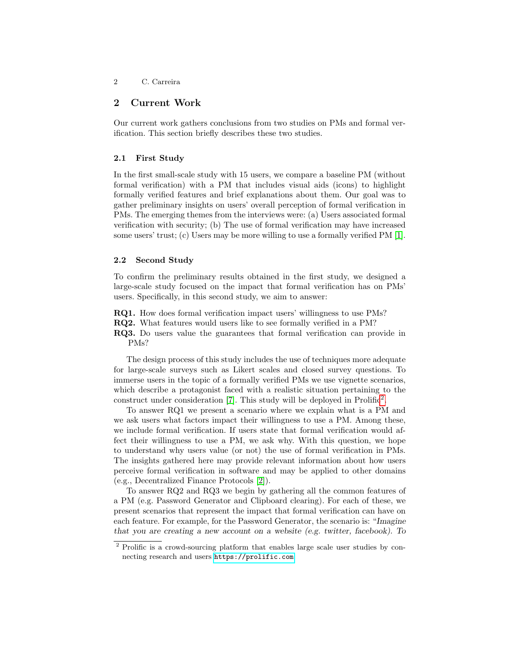### 2 Current Work

Our current work gathers conclusions from two studies on PMs and formal verification. This section briefly describes these two studies.

#### 2.1 First Study

In the first small-scale study with 15 users, we compare a baseline PM (without formal verification) with a PM that includes visual aids (icons) to highlight formally verified features and brief explanations about them. Our goal was to gather preliminary insights on users' overall perception of formal verification in PMs. The emerging themes from the interviews were: (a) Users associated formal verification with security; (b) The use of formal verification may have increased some users' trust; (c) Users may be more willing to use a formally verified PM [\[1\]](#page-3-9).

#### <span id="page-1-1"></span>2.2 Second Study

To confirm the preliminary results obtained in the first study, we designed a large-scale study focused on the impact that formal verification has on PMs' users. Specifically, in this second study, we aim to answer:

RQ1. How does formal verification impact users' willingness to use PMs?

- RQ2. What features would users like to see formally verified in a PM?
- RQ3. Do users value the guarantees that formal verification can provide in PMs?

The design process of this study includes the use of techniques more adequate for large-scale surveys such as Likert scales and closed survey questions. To immerse users in the topic of a formally verified PMs we use vignette scenarios, which describe a protagonist faced with a realistic situation pertaining to the construct under consideration [\[7\]](#page-3-10). This study will be deployed in Prolific<sup>[2](#page-1-0)</sup>.

To answer RQ1 we present a scenario where we explain what is a PM and we ask users what factors impact their willingness to use a PM. Among these, we include formal verification. If users state that formal verification would affect their willingness to use a PM, we ask why. With this question, we hope to understand why users value (or not) the use of formal verification in PMs. The insights gathered here may provide relevant information about how users perceive formal verification in software and may be applied to other domains (e.g., Decentralized Finance Protocols [\[2\]](#page-3-11)).

To answer RQ2 and RQ3 we begin by gathering all the common features of a PM (e.g. Password Generator and Clipboard clearing). For each of these, we present scenarios that represent the impact that formal verification can have on each feature. For example, for the Password Generator, the scenario is: "Imagine that you are creating a new account on a website (e.g. twitter, facebook). To

<span id="page-1-0"></span><sup>2</sup> Prolific is a crowd-sourcing platform that enables large scale user studies by connecting research and users <https://prolific.com>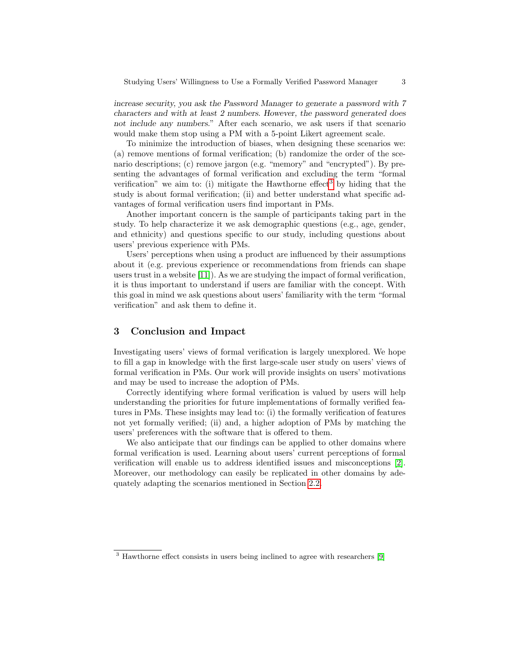increase security, you ask the Password Manager to generate a password with 7 characters and with at least 2 numbers. However, the password generated does not include any numbers." After each scenario, we ask users if that scenario would make them stop using a PM with a 5-point Likert agreement scale.

To minimize the introduction of biases, when designing these scenarios we: (a) remove mentions of formal verification; (b) randomize the order of the scenario descriptions; (c) remove jargon (e.g. "memory" and "encrypted"). By presenting the advantages of formal verification and excluding the term "formal verification" we aim to: (i) mitigate the Hawthorne effect<sup>[3](#page-2-0)</sup> by hiding that the study is about formal verification; (ii) and better understand what specific advantages of formal verification users find important in PMs.

Another important concern is the sample of participants taking part in the study. To help characterize it we ask demographic questions (e.g., age, gender, and ethnicity) and questions specific to our study, including questions about users' previous experience with PMs.

Users' perceptions when using a product are influenced by their assumptions about it (e.g. previous experience or recommendations from friends can shape users trust in a website [\[11\]](#page-3-12)). As we are studying the impact of formal verification, it is thus important to understand if users are familiar with the concept. With this goal in mind we ask questions about users' familiarity with the term "formal verification" and ask them to define it.

## 3 Conclusion and Impact

Investigating users' views of formal verification is largely unexplored. We hope to fill a gap in knowledge with the first large-scale user study on users' views of formal verification in PMs. Our work will provide insights on users' motivations and may be used to increase the adoption of PMs.

Correctly identifying where formal verification is valued by users will help understanding the priorities for future implementations of formally verified features in PMs. These insights may lead to: (i) the formally verification of features not yet formally verified; (ii) and, a higher adoption of PMs by matching the users' preferences with the software that is offered to them.

We also anticipate that our findings can be applied to other domains where formal verification is used. Learning about users' current perceptions of formal verification will enable us to address identified issues and misconceptions [\[2\]](#page-3-11). Moreover, our methodology can easily be replicated in other domains by adequately adapting the scenarios mentioned in Section [2.2.](#page-1-1)

<span id="page-2-0"></span><sup>&</sup>lt;sup>3</sup> Hawthorne effect consists in users being inclined to agree with researchers [\[9\]](#page-3-13)